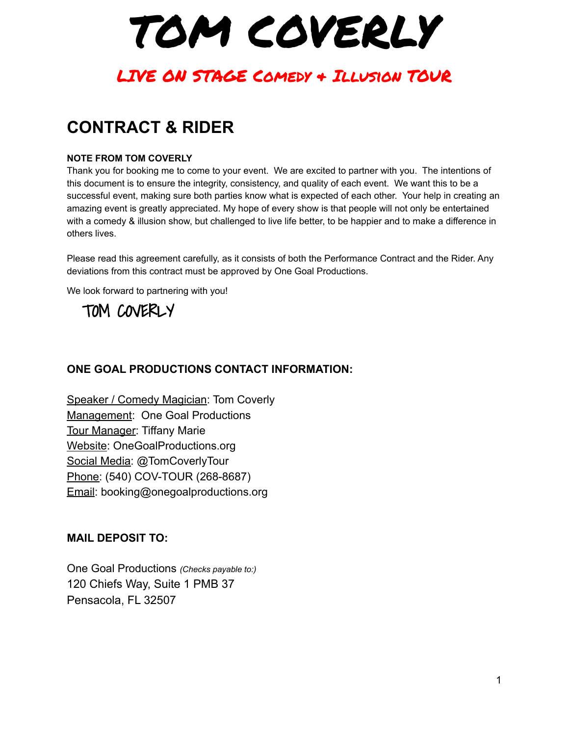TOM COVERLY

# **CONTRACT & RIDER**

#### **NOTE FROM TOM COVERLY**

Thank you for booking me to come to your event. We are excited to partner with you. The intentions of this document is to ensure the integrity, consistency, and quality of each event. We want this to be a successful event, making sure both parties know what is expected of each other. Your help in creating an amazing event is greatly appreciated. My hope of every show is that people will not only be entertained with a comedy & illusion show, but challenged to live life better, to be happier and to make a difference in others lives.

Please read this agreement carefully, as it consists of both the Performance Contract and the Rider. Any deviations from this contract must be approved by One Goal Productions.

We look forward to partnering with you!

TOM COVERLY

## **ONE GOAL PRODUCTIONS CONTACT INFORMATION:**

Speaker / Comedy Magician: Tom Coverly Management: One Goal Productions Tour Manager: Tiffany Marie Website: OneGoalProductions.org Social Media: @TomCoverlyTour Phone: (540) COV-TOUR (268-8687) Email: booking@onegoalproductions.org

## **MAIL DEPOSIT TO:**

One Goal Productions *(Checks payable to:)* 120 Chiefs Way, Suite 1 PMB 37 Pensacola, FL 32507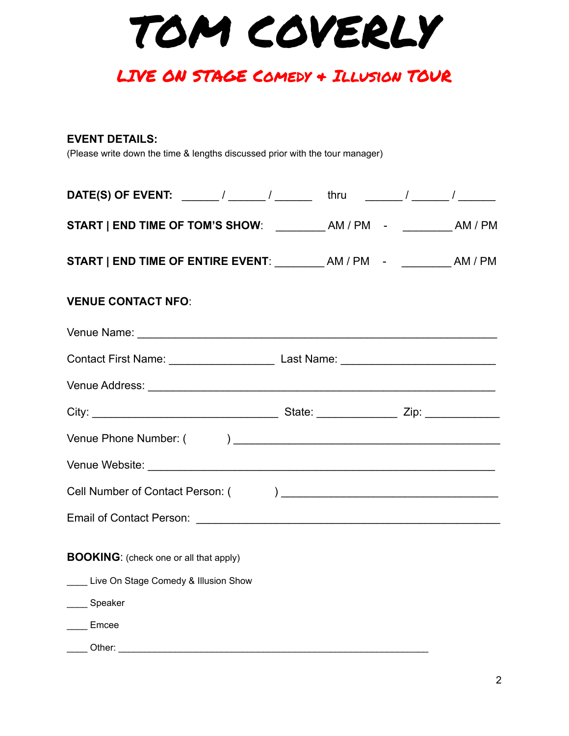TOM COVERLY

### **EVENT DETAILS:**

(Please write down the time & lengths discussed prior with the tour manager)

| <b>DATE(S) OF EVENT:</b> ______/ ______/ ________ thru ______/ ______/ _________/                    |  |  |
|------------------------------------------------------------------------------------------------------|--|--|
| START   END TIME OF TOM'S SHOW: __________ AM / PM - __________ AM / PM                              |  |  |
|                                                                                                      |  |  |
| <b>VENUE CONTACT NFO:</b>                                                                            |  |  |
|                                                                                                      |  |  |
| Contact First Name: __________________________________Last Name: ___________________________________ |  |  |
|                                                                                                      |  |  |
|                                                                                                      |  |  |
|                                                                                                      |  |  |
|                                                                                                      |  |  |
|                                                                                                      |  |  |
|                                                                                                      |  |  |
|                                                                                                      |  |  |
| <b>BOOKING:</b> (check one or all that apply)                                                        |  |  |
| Live On Stage Comedy & Illusion Show                                                                 |  |  |
| ____ Speaker                                                                                         |  |  |
| ____ Emcee                                                                                           |  |  |
|                                                                                                      |  |  |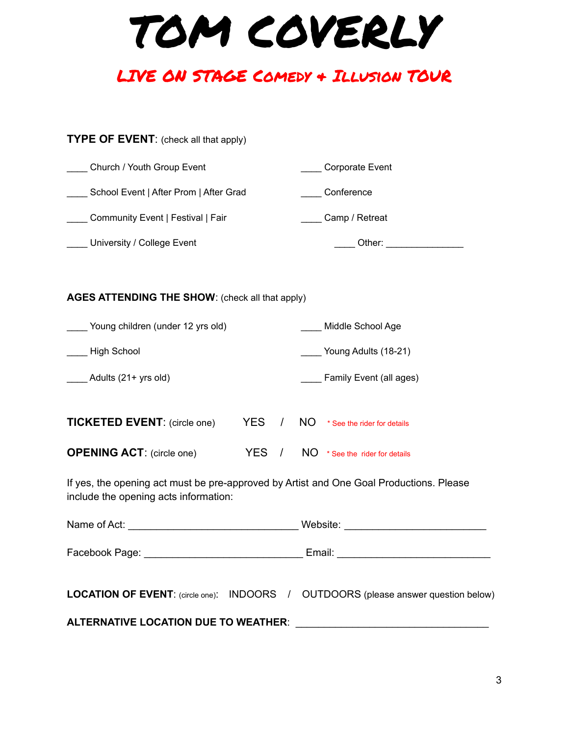TOM COVERLY

## **TYPE OF EVENT:** (check all that apply)

| Church / Youth Group Event             | Corporate Event |
|----------------------------------------|-----------------|
| School Event   After Prom   After Grad | Conference      |
| Community Event   Festival   Fair      | Camp / Retreat  |
| University / College Event             | Other:          |
|                                        |                 |

#### **AGES ATTENDING THE SHOW**: (check all that apply)

| Young children (under 12 yrs old)   |     |    | Middle School Age           |
|-------------------------------------|-----|----|-----------------------------|
| High School                         |     |    | Young Adults (18-21)        |
| Adults $(21 + yrs$ old)             |     |    | Family Event (all ages)     |
| <b>TICKETED EVENT:</b> (circle one) | YES | ΝO | * See the rider for details |

| <b>OPENING ACT: (circle one)</b> |  | $YES$ / $NO$ * See the rider for details |
|----------------------------------|--|------------------------------------------|
|                                  |  |                                          |

If yes, the opening act must be pre-approved by Artist and One Goal Productions. Please include the opening acts information:

|  |  | Website: ___ ____________________________                                                 |  |  |
|--|--|-------------------------------------------------------------------------------------------|--|--|
|  |  |                                                                                           |  |  |
|  |  | <b>LOCATION OF EVENT:</b> (circle one): INDOORS / OUTDOORS (please answer question below) |  |  |
|  |  |                                                                                           |  |  |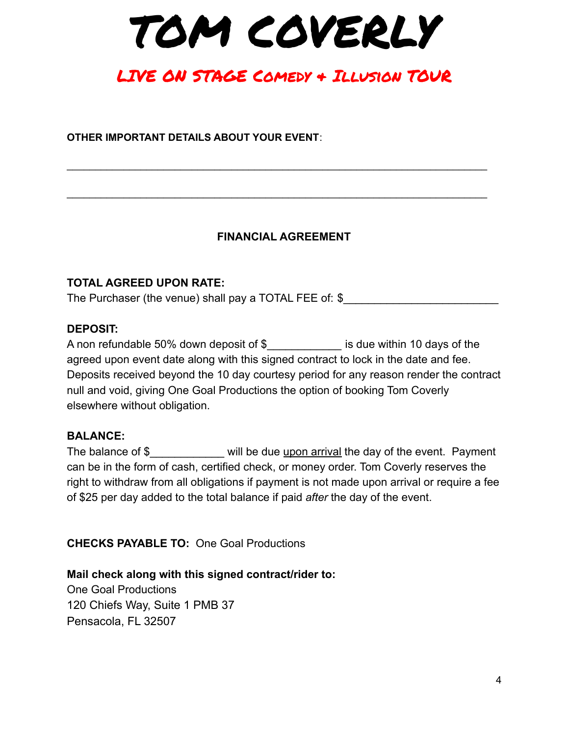TOM COVERLY

**OTHER IMPORTANT DETAILS ABOUT YOUR EVENT**:

## **FINANCIAL AGREEMENT**

\_\_\_\_\_\_\_\_\_\_\_\_\_\_\_\_\_\_\_\_\_\_\_\_\_\_\_\_\_\_\_\_\_\_\_\_\_\_\_\_\_\_\_\_\_\_\_\_\_\_\_\_\_\_\_\_\_\_\_\_\_\_\_\_\_\_\_\_\_\_\_\_\_\_

\_\_\_\_\_\_\_\_\_\_\_\_\_\_\_\_\_\_\_\_\_\_\_\_\_\_\_\_\_\_\_\_\_\_\_\_\_\_\_\_\_\_\_\_\_\_\_\_\_\_\_\_\_\_\_\_\_\_\_\_\_\_\_\_\_\_\_\_\_\_\_\_\_\_

## **TOTAL AGREED UPON RATE:**

The Purchaser (the venue) shall pay a TOTAL FEE of: \$

## **DEPOSIT:**

A non refundable 50% down deposit of \$ is due within 10 days of the agreed upon event date along with this signed contract to lock in the date and fee. Deposits received beyond the 10 day courtesy period for any reason render the contract null and void, giving One Goal Productions the option of booking Tom Coverly elsewhere without obligation.

## **BALANCE:**

The balance of \$ will be due upon arrival the day of the event. Payment can be in the form of cash, certified check, or money order. Tom Coverly reserves the right to withdraw from all obligations if payment is not made upon arrival or require a fee of \$25 per day added to the total balance if paid *after* the day of the event.

**CHECKS PAYABLE TO:** One Goal Productions

**Mail check along with this signed contract/rider to:** One Goal Productions 120 Chiefs Way, Suite 1 PMB 37 Pensacola, FL 32507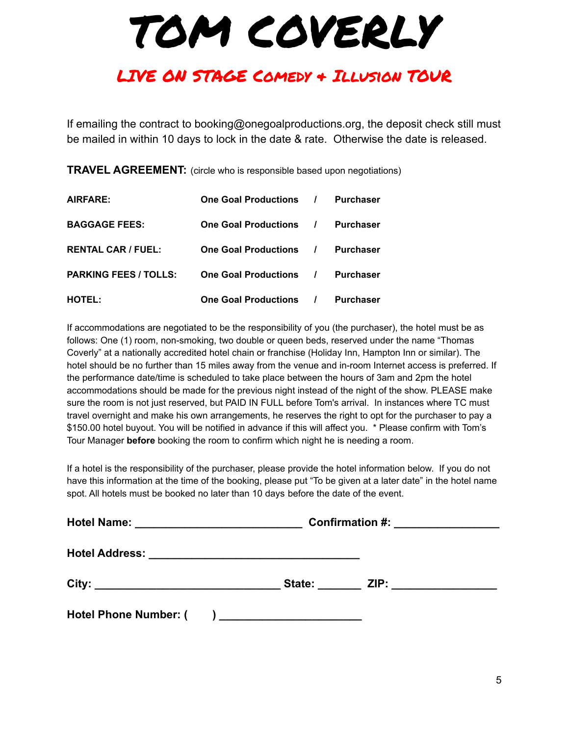# LIVE ON STAGE Comedy & Illusion TOUR

If emailing the contract to booking@onegoalproductions.org, the deposit check still must be mailed in within 10 days to lock in the date & rate. Otherwise the date is released.

**TRAVEL AGREEMENT:** (circle who is responsible based upon negotiations)

| AIRFARE:                     | One Goal Productions / | <b>Purchaser</b> |
|------------------------------|------------------------|------------------|
| <b>BAGGAGE FEES:</b>         | One Goal Productions / | <b>Purchaser</b> |
| <b>RENTAL CAR / FUEL:</b>    | One Goal Productions / | <b>Purchaser</b> |
| <b>PARKING FEES / TOLLS:</b> | One Goal Productions / | <b>Purchaser</b> |
| <b>HOTEL:</b>                | One Goal Productions / | <b>Purchaser</b> |

If accommodations are negotiated to be the responsibility of you (the purchaser), the hotel must be as follows: One (1) room, non-smoking, two double or queen beds, reserved under the name "Thomas Coverly" at a nationally accredited hotel chain or franchise (Holiday Inn, Hampton Inn or similar). The hotel should be no further than 15 miles away from the venue and in-room Internet access is preferred. If the performance date/time is scheduled to take place between the hours of 3am and 2pm the hotel accommodations should be made for the previous night instead of the night of the show. PLEASE make sure the room is not just reserved, but PAID IN FULL before Tom's arrival. In instances where TC must travel overnight and make his own arrangements, he reserves the right to opt for the purchaser to pay a \$150.00 hotel buyout. You will be notified in advance if this will affect you. \* Please confirm with Tom's Tour Manager **before** booking the room to confirm which night he is needing a room.

If a hotel is the responsibility of the purchaser, please provide the hotel information below. If you do not have this information at the time of the booking, please put "To be given at a later date" in the hotel name spot. All hotels must be booked no later than 10 days before the date of the event.

| Hotel Name: ______________________________                                | <b>Confirmation #:</b><br><u> 1980 - Andrea Aonaich, ann an t-</u> |  |  |
|---------------------------------------------------------------------------|--------------------------------------------------------------------|--|--|
| <b>Hotel Address:</b>                                                     | <u> 2000 - Jan Berlin, Amerikaansk politiker (d. 1982)</u>         |  |  |
| City:<br><u> 1989 - Johann John Stein, mars an de Francisco (f. 1989)</u> |                                                                    |  |  |
| <b>Hotel Phone Number: (</b>                                              | ) and the contract of the contract of $\mathcal{L}$                |  |  |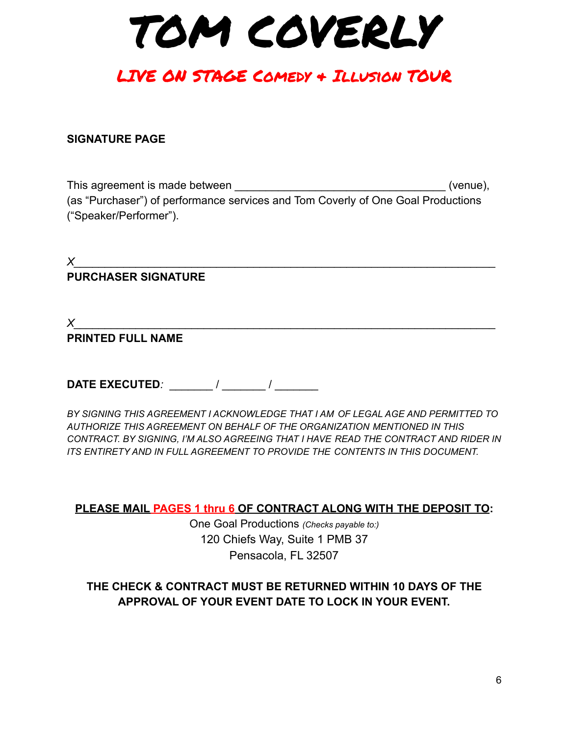TOM COVERLY

## **SIGNATURE PAGE**

This agreement is made between **This agreement** is made between (as "Purchaser") of performance services and Tom Coverly of One Goal Productions ("Speaker/Performer").

 $X$ **PURCHASER SIGNATURE**

*X\_\_\_\_\_\_\_\_\_\_\_\_\_\_\_\_\_\_\_\_\_\_\_\_\_\_\_\_\_\_\_\_\_\_\_\_\_\_\_\_\_\_\_\_\_\_\_\_\_\_\_\_\_\_\_\_\_\_\_\_\_\_\_\_\_\_\_\_*

## **PRINTED FULL NAME**

**DATE EXECUTED***:*  $\qquad$  /  $\qquad$  /

*BY SIGNING THIS AGREEMENT I ACKNOWLEDGE THAT I AM OF LEGAL AGE AND PERMITTED TO AUTHORIZE THIS AGREEMENT ON BEHALF OF THE ORGANIZATION MENTIONED IN THIS CONTRACT. BY SIGNING, I'M ALSO AGREEING THAT I HAVE READ THE CONTRACT AND RIDER IN ITS ENTIRETY AND IN FULL AGREEMENT TO PROVIDE THE CONTENTS IN THIS DOCUMENT.*

**PLEASE MAIL PAGES 1 thru 6 OF CONTRACT ALONG WITH THE DEPOSIT TO:**

One Goal Productions *(Checks payable to:)* 120 Chiefs Way, Suite 1 PMB 37 Pensacola, FL 32507

## **THE CHECK & CONTRACT MUST BE RETURNED WITHIN 10 DAYS OF THE APPROVAL OF YOUR EVENT DATE TO LOCK IN YOUR EVENT.**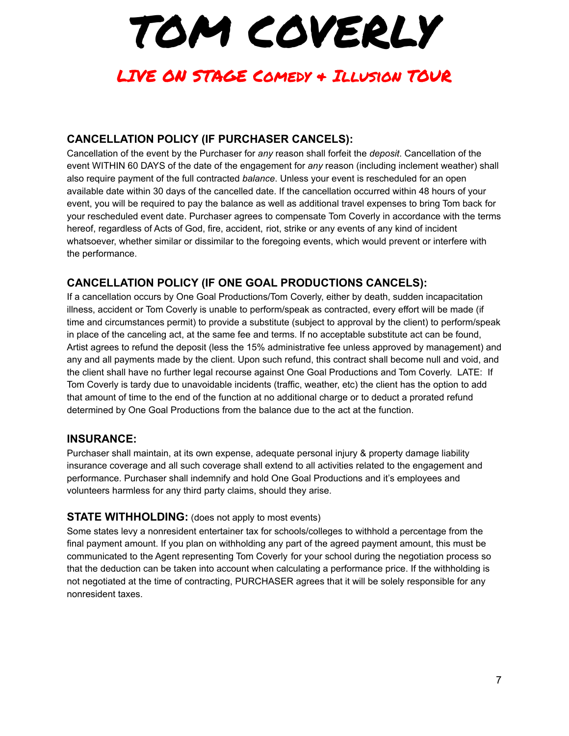# LIVE ON STAGE Comedy & Illusion TOUR

## **CANCELLATION POLICY (IF PURCHASER CANCELS):**

Cancellation of the event by the Purchaser for *any* reason shall forfeit the *deposit*. Cancellation of the event WITHIN 60 DAYS of the date of the engagement for *any* reason (including inclement weather) shall also require payment of the full contracted *balance*. Unless your event is rescheduled for an open available date within 30 days of the cancelled date. If the cancellation occurred within 48 hours of your event, you will be required to pay the balance as well as additional travel expenses to bring Tom back for your rescheduled event date. Purchaser agrees to compensate Tom Coverly in accordance with the terms hereof, regardless of Acts of God, fire, accident, riot, strike or any events of any kind of incident whatsoever, whether similar or dissimilar to the foregoing events, which would prevent or interfere with the performance.

## **CANCELLATION POLICY (IF ONE GOAL PRODUCTIONS CANCELS):**

If a cancellation occurs by One Goal Productions/Tom Coverly, either by death, sudden incapacitation illness, accident or Tom Coverly is unable to perform/speak as contracted, every effort will be made (if time and circumstances permit) to provide a substitute (subject to approval by the client) to perform/speak in place of the canceling act, at the same fee and terms. If no acceptable substitute act can be found, Artist agrees to refund the deposit (less the 15% administrative fee unless approved by management) and any and all payments made by the client. Upon such refund, this contract shall become null and void, and the client shall have no further legal recourse against One Goal Productions and Tom Coverly. LATE: If Tom Coverly is tardy due to unavoidable incidents (traffic, weather, etc) the client has the option to add that amount of time to the end of the function at no additional charge or to deduct a prorated refund determined by One Goal Productions from the balance due to the act at the function.

## **INSURANCE:**

Purchaser shall maintain, at its own expense, adequate personal injury & property damage liability insurance coverage and all such coverage shall extend to all activities related to the engagement and performance. Purchaser shall indemnify and hold One Goal Productions and it's employees and volunteers harmless for any third party claims, should they arise.

## **STATE WITHHOLDING:** (does not apply to most events)

Some states levy a nonresident entertainer tax for schools/colleges to withhold a percentage from the final payment amount. If you plan on withholding any part of the agreed payment amount, this must be communicated to the Agent representing Tom Coverly for your school during the negotiation process so that the deduction can be taken into account when calculating a performance price. If the withholding is not negotiated at the time of contracting, PURCHASER agrees that it will be solely responsible for any nonresident taxes.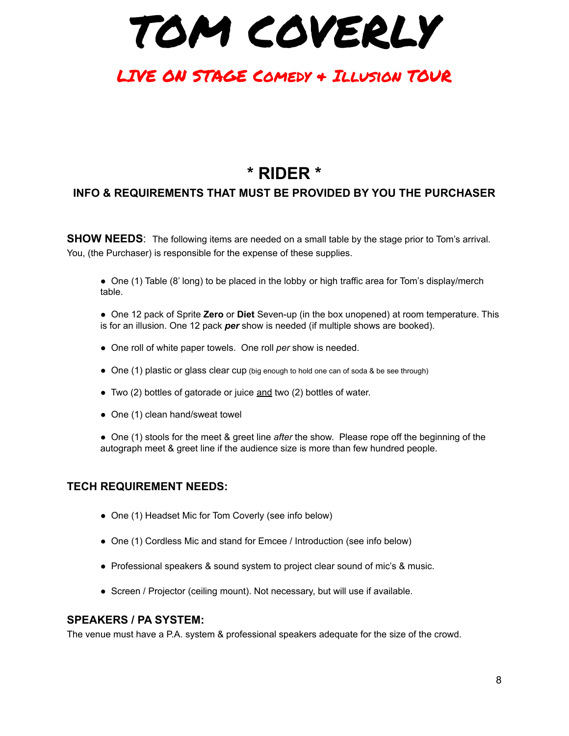TOM COVERLY

# **\* RIDER \***

### **INFO & REQUIREMENTS THAT MUST BE PROVIDED BY YOU THE PURCHASER**

**SHOW NEEDS:** The following items are needed on a small table by the stage prior to Tom's arrival. You, (the Purchaser) is responsible for the expense of these supplies.

● One (1) Table (8' long) to be placed in the lobby or high traffic area for Tom's display/merch table.

- One 12 pack of Sprite **Zero** or **Diet** Seven-up (in the box unopened) at room temperature. This is for an illusion. One 12 pack *per* show is needed (if multiple shows are booked).
- One roll of white paper towels. One roll *per* show is needed.
- One (1) plastic or glass clear cup (big enough to hold one can of soda & be see through)
- Two (2) bottles of gatorade or juice and two (2) bottles of water.
- One (1) clean hand/sweat towel

● One (1) stools for the meet & greet line *after* the show. Please rope off the beginning of the autograph meet & greet line if the audience size is more than few hundred people.

#### **TECH REQUIREMENT NEEDS:**

- One (1) Headset Mic for Tom Coverly (see info below)
- One (1) Cordless Mic and stand for Emcee / Introduction (see info below)
- Professional speakers & sound system to project clear sound of mic's & music.
- Screen / Projector (ceiling mount). Not necessary, but will use if available.

#### **SPEAKERS / PA SYSTEM:**

The venue must have a P.A. system & professional speakers adequate for the size of the crowd.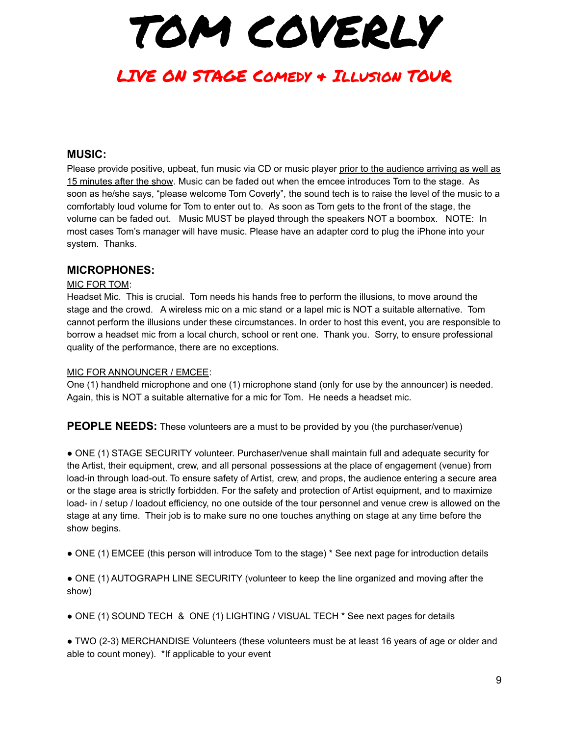# LIVE ON STAGE Comedy & Illusion TOUR

### **MUSIC:**

Please provide positive, upbeat, fun music via CD or music player prior to the audience arriving as well as 15 minutes after the show. Music can be faded out when the emcee introduces Tom to the stage. As soon as he/she says, "please welcome Tom Coverly", the sound tech is to raise the level of the music to a comfortably loud volume for Tom to enter out to. As soon as Tom gets to the front of the stage, the volume can be faded out. Music MUST be played through the speakers NOT a boombox. NOTE: In most cases Tom's manager will have music. Please have an adapter cord to plug the iPhone into your system. Thanks.

#### **MICROPHONES:**

#### MIC FOR TOM:

Headset Mic. This is crucial. Tom needs his hands free to perform the illusions, to move around the stage and the crowd. A wireless mic on a mic stand or a lapel mic is NOT a suitable alternative. Tom cannot perform the illusions under these circumstances. In order to host this event, you are responsible to borrow a headset mic from a local church, school or rent one. Thank you. Sorry, to ensure professional quality of the performance, there are no exceptions.

#### MIC FOR ANNOUNCER / EMCEE:

One (1) handheld microphone and one (1) microphone stand (only for use by the announcer) is needed. Again, this is NOT a suitable alternative for a mic for Tom. He needs a headset mic.

**PEOPLE NEEDS:** These volunteers are a must to be provided by you (the purchaser/venue)

● ONE (1) STAGE SECURITY volunteer. Purchaser/venue shall maintain full and adequate security for the Artist, their equipment, crew, and all personal possessions at the place of engagement (venue) from load-in through load-out. To ensure safety of Artist, crew, and props, the audience entering a secure area or the stage area is strictly forbidden. For the safety and protection of Artist equipment, and to maximize load- in / setup / loadout efficiency, no one outside of the tour personnel and venue crew is allowed on the stage at any time. Their job is to make sure no one touches anything on stage at any time before the show begins.

● ONE (1) EMCEE (this person will introduce Tom to the stage) \* See next page for introduction details

● ONE (1) AUTOGRAPH LINE SECURITY (volunteer to keep the line organized and moving after the show)

● ONE (1) SOUND TECH & ONE (1) LIGHTING / VISUAL TECH \* See next pages for details

● TWO (2-3) MERCHANDISE Volunteers (these volunteers must be at least 16 years of age or older and able to count money). \*If applicable to your event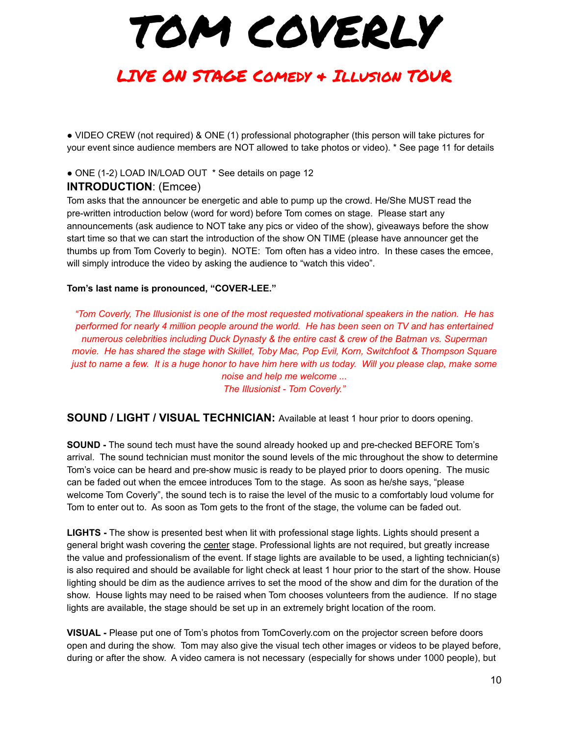# LIVE ON STAGE Comedy & Illusion TOUR

● VIDEO CREW (not required) & ONE (1) professional photographer (this person will take pictures for your event since audience members are NOT allowed to take photos or video). \* See page 11 for details

## ● ONE (1-2) LOAD IN/LOAD OUT \* See details on page 12

## **INTRODUCTION**: (Emcee)

Tom asks that the announcer be energetic and able to pump up the crowd. He/She MUST read the pre-written introduction below (word for word) before Tom comes on stage. Please start any announcements (ask audience to NOT take any pics or video of the show), giveaways before the show start time so that we can start the introduction of the show ON TIME (please have announcer get the thumbs up from Tom Coverly to begin). NOTE: Tom often has a video intro. In these cases the emcee, will simply introduce the video by asking the audience to "watch this video".

#### **Tom's last name is pronounced, "COVER-LEE."**

*"Tom Coverly, The Illusionist is one of the most requested motivational speakers in the nation. He has performed for nearly 4 million people around the world. He has been seen on TV and has entertained numerous celebrities including Duck Dynasty & the entire cast & crew of the Batman vs. Superman movie. He has shared the stage with Skillet, Toby Mac, Pop Evil, Korn, Switchfoot & Thompson Square* just to name a few. It is a huge honor to have him here with us today. Will you please clap, make some *noise and help me welcome ... The Illusionist - Tom Coverly."*

**SOUND / LIGHT / VISUAL TECHNICIAN:** Available at least 1 hour prior to doors opening.

**SOUND -** The sound tech must have the sound already hooked up and pre-checked BEFORE Tom's arrival. The sound technician must monitor the sound levels of the mic throughout the show to determine Tom's voice can be heard and pre-show music is ready to be played prior to doors opening. The music can be faded out when the emcee introduces Tom to the stage. As soon as he/she says, "please welcome Tom Coverly", the sound tech is to raise the level of the music to a comfortably loud volume for Tom to enter out to. As soon as Tom gets to the front of the stage, the volume can be faded out.

**LIGHTS -** The show is presented best when lit with professional stage lights. Lights should present a general bright wash covering the center stage. Professional lights are not required, but greatly increase the value and professionalism of the event. If stage lights are available to be used, a lighting technician(s) is also required and should be available for light check at least 1 hour prior to the start of the show. House lighting should be dim as the audience arrives to set the mood of the show and dim for the duration of the show. House lights may need to be raised when Tom chooses volunteers from the audience. If no stage lights are available, the stage should be set up in an extremely bright location of the room.

**VISUAL -** Please put one of Tom's photos from TomCoverly.com on the projector screen before doors open and during the show. Tom may also give the visual tech other images or videos to be played before, during or after the show. A video camera is not necessary (especially for shows under 1000 people), but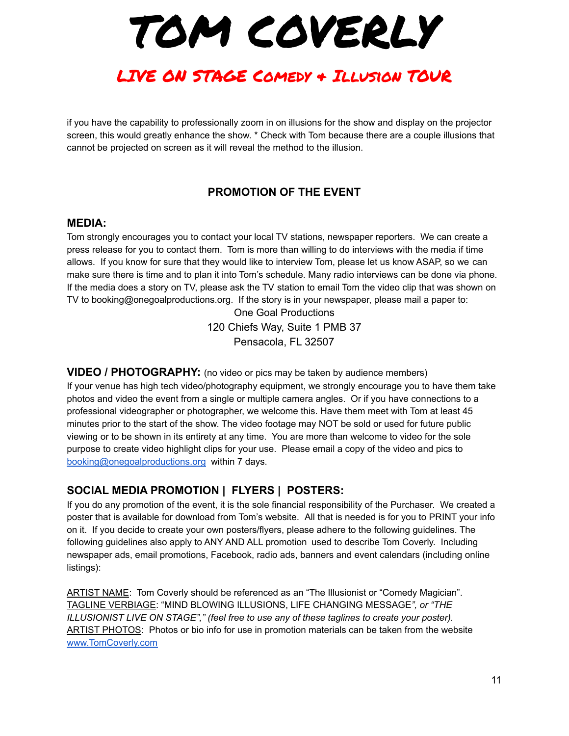TOM COVERLY

if you have the capability to professionally zoom in on illusions for the show and display on the projector screen, this would greatly enhance the show. \* Check with Tom because there are a couple illusions that cannot be projected on screen as it will reveal the method to the illusion.

## **PROMOTION OF THE EVENT**

#### **MEDIA:**

Tom strongly encourages you to contact your local TV stations, newspaper reporters. We can create a press release for you to contact them. Tom is more than willing to do interviews with the media if time allows. If you know for sure that they would like to interview Tom, please let us know ASAP, so we can make sure there is time and to plan it into Tom's schedule. Many radio interviews can be done via phone. If the media does a story on TV, please ask the TV station to email Tom the video clip that was shown on TV to booking@onegoalproductions.org. If the story is in your newspaper, please mail a paper to:

> One Goal Productions 120 Chiefs Way, Suite 1 PMB 37 Pensacola, FL 32507

**VIDEO / PHOTOGRAPHY:** (no video or pics may be taken by audience members)

If your venue has high tech video/photography equipment, we strongly encourage you to have them take photos and video the event from a single or multiple camera angles. Or if you have connections to a professional videographer or photographer, we welcome this. Have them meet with Tom at least 45 minutes prior to the start of the show. The video footage may NOT be sold or used for future public viewing or to be shown in its entirety at any time. You are more than welcome to video for the sole purpose to create video highlight clips for your use. Please email a copy of the video and pics to [booking@onegoalproductions.org](mailto:booking@onegoalproductions.org) within 7 days.

#### **SOCIAL MEDIA PROMOTION | FLYERS | POSTERS:**

If you do any promotion of the event, it is the sole financial responsibility of the Purchaser. We created a poster that is available for download from Tom's website. All that is needed is for you to PRINT your info on it. If you decide to create your own posters/flyers, please adhere to the following guidelines. The following guidelines also apply to ANY AND ALL promotion used to describe Tom Coverly. Including newspaper ads, email promotions, Facebook, radio ads, banners and event calendars (including online listings):

ARTIST NAME: Tom Coverly should be referenced as an "The Illusionist or "Comedy Magician". TAGLINE VERBIAGE: "MIND BLOWING ILLUSIONS, LIFE CHANGING MESSAGE*", or "THE ILLUSIONIST LIVE ON STAGE"," (feel free to use any of these taglines to create your poster).* ARTIST PHOTOS: Photos or bio info for use in promotion materials can be taken from the website [www.TomCoverly.com](http://www.destroyillusions.com)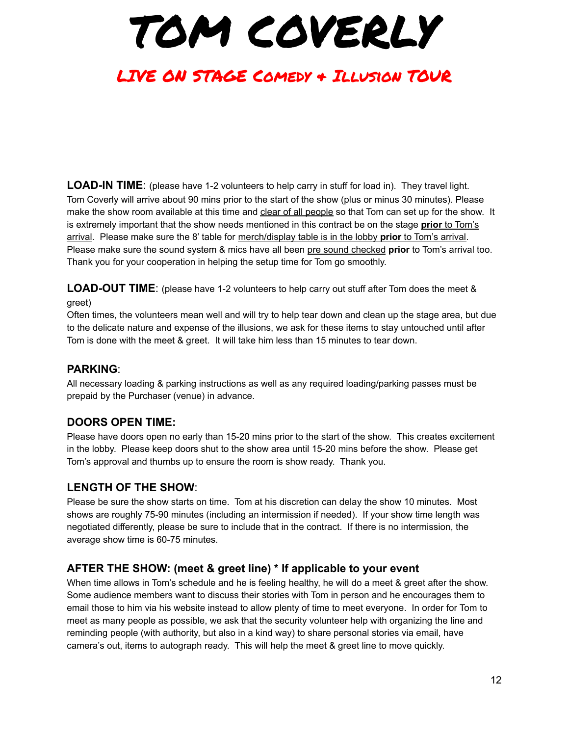# LIVE ON STAGE Comedy & Illusion TOUR

**LOAD-IN TIME**: (please have 1-2 volunteers to help carry in stuff for load in). They travel light. Tom Coverly will arrive about 90 mins prior to the start of the show (plus or minus 30 minutes). Please make the show room available at this time and clear of all people so that Tom can set up for the show. It is extremely important that the show needs mentioned in this contract be on the stage **prior** to Tom's arrival. Please make sure the 8' table for merch/display table is in the lobby **prior** to Tom's arrival. Please make sure the sound system & mics have all been pre sound checked **prior** to Tom's arrival too. Thank you for your cooperation in helping the setup time for Tom go smoothly.

**LOAD-OUT TIME**: (please have 1-2 volunteers to help carry out stuff after Tom does the meet & greet)

Often times, the volunteers mean well and will try to help tear down and clean up the stage area, but due to the delicate nature and expense of the illusions, we ask for these items to stay untouched until after Tom is done with the meet & greet. It will take him less than 15 minutes to tear down.

### **PARKING**:

All necessary loading & parking instructions as well as any required loading/parking passes must be prepaid by the Purchaser (venue) in advance.

## **DOORS OPEN TIME:**

Please have doors open no early than 15-20 mins prior to the start of the show. This creates excitement in the lobby. Please keep doors shut to the show area until 15-20 mins before the show. Please get Tom's approval and thumbs up to ensure the room is show ready. Thank you.

## **LENGTH OF THE SHOW**:

Please be sure the show starts on time. Tom at his discretion can delay the show 10 minutes. Most shows are roughly 75-90 minutes (including an intermission if needed). If your show time length was negotiated differently, please be sure to include that in the contract. If there is no intermission, the average show time is 60-75 minutes.

#### **AFTER THE SHOW: (meet & greet line) \* If applicable to your event**

When time allows in Tom's schedule and he is feeling healthy, he will do a meet & greet after the show. Some audience members want to discuss their stories with Tom in person and he encourages them to email those to him via his website instead to allow plenty of time to meet everyone. In order for Tom to meet as many people as possible, we ask that the security volunteer help with organizing the line and reminding people (with authority, but also in a kind way) to share personal stories via email, have camera's out, items to autograph ready. This will help the meet & greet line to move quickly.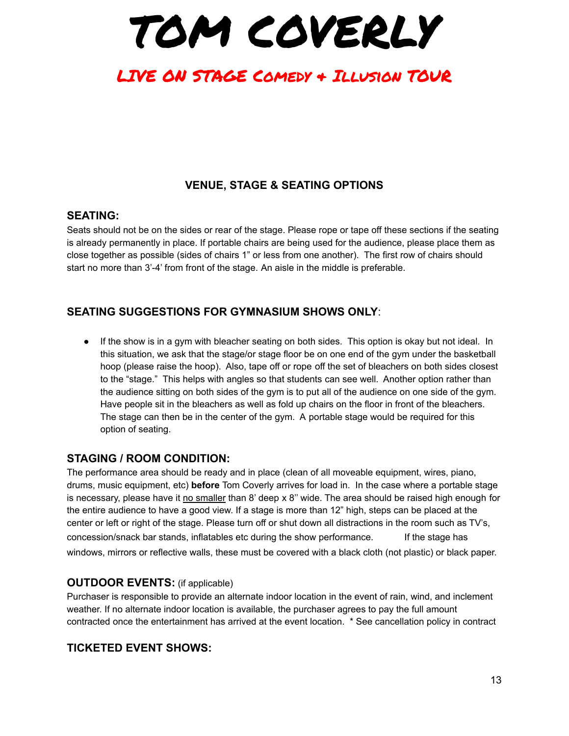TOM COVERLY

## **VENUE, STAGE & SEATING OPTIONS**

#### **SEATING:**

Seats should not be on the sides or rear of the stage. Please rope or tape off these sections if the seating is already permanently in place. If portable chairs are being used for the audience, please place them as close together as possible (sides of chairs 1" or less from one another). The first row of chairs should start no more than 3'-4' from front of the stage. An aisle in the middle is preferable.

## **SEATING SUGGESTIONS FOR GYMNASIUM SHOWS ONLY**:

● If the show is in a gym with bleacher seating on both sides. This option is okay but not ideal. In this situation, we ask that the stage/or stage floor be on one end of the gym under the basketball hoop (please raise the hoop). Also, tape off or rope off the set of bleachers on both sides closest to the "stage." This helps with angles so that students can see well. Another option rather than the audience sitting on both sides of the gym is to put all of the audience on one side of the gym. Have people sit in the bleachers as well as fold up chairs on the floor in front of the bleachers. The stage can then be in the center of the gym. A portable stage would be required for this option of seating.

#### **STAGING / ROOM CONDITION:**

The performance area should be ready and in place (clean of all moveable equipment, wires, piano, drums, music equipment, etc) **before** Tom Coverly arrives for load in. In the case where a portable stage is necessary, please have it no smaller than 8' deep x 8'' wide. The area should be raised high enough for the entire audience to have a good view. If a stage is more than 12" high, steps can be placed at the center or left or right of the stage. Please turn off or shut down all distractions in the room such as TV's, concession/snack bar stands, inflatables etc during the show performance. If the stage has windows, mirrors or reflective walls, these must be covered with a black cloth (not plastic) or black paper.

#### **OUTDOOR EVENTS:** (if applicable)

Purchaser is responsible to provide an alternate indoor location in the event of rain, wind, and inclement weather. If no alternate indoor location is available, the purchaser agrees to pay the full amount contracted once the entertainment has arrived at the event location. \* See cancellation policy in contract

#### **TICKETED EVENT SHOWS:**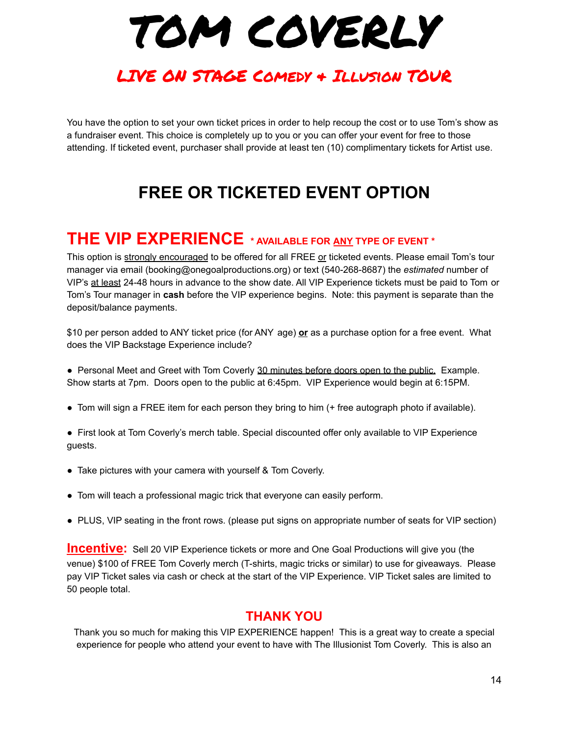# LIVE ON STAGE Comedy & Illusion TOUR

You have the option to set your own ticket prices in order to help recoup the cost or to use Tom's show as a fundraiser event. This choice is completely up to you or you can offer your event for free to those attending. If ticketed event, purchaser shall provide at least ten (10) complimentary tickets for Artist use.

# **FREE OR TICKETED EVENT OPTION**

## **THE VIP EXPERIENCE \* AVAILABLE FOR ANY TYPE OF EVENT \***

This option is strongly encouraged to be offered for all FREE or ticketed events. Please email Tom's tour manager via email (booking@onegoalproductions.org) or text (540-268-8687) the *estimated* number of VIP's at least 24-48 hours in advance to the show date. All VIP Experience tickets must be paid to Tom or Tom's Tour manager in **cash** before the VIP experience begins. Note: this payment is separate than the deposit/balance payments.

\$10 per person added to ANY ticket price (for ANY age) **or** as a purchase option for a free event. What does the VIP Backstage Experience include?

• Personal Meet and Greet with Tom Coverly 30 minutes before doors open to the public. Example. Show starts at 7pm. Doors open to the public at 6:45pm. VIP Experience would begin at 6:15PM.

- Tom will sign a FREE item for each person they bring to him (+ free autograph photo if available).
- First look at Tom Coverly's merch table. Special discounted offer only available to VIP Experience guests.
- Take pictures with your camera with yourself & Tom Coverly.
- Tom will teach a professional magic trick that everyone can easily perform.
- PLUS, VIP seating in the front rows. (please put signs on appropriate number of seats for VIP section)

**Incentive:** Sell 20 VIP Experience tickets or more and One Goal Productions will give you (the venue) \$100 of FREE Tom Coverly merch (T-shirts, magic tricks or similar) to use for giveaways. Please pay VIP Ticket sales via cash or check at the start of the VIP Experience. VIP Ticket sales are limited to 50 people total.

## **THANK YOU**

Thank you so much for making this VIP EXPERIENCE happen! This is a great way to create a special experience for people who attend your event to have with The Illusionist Tom Coverly. This is also an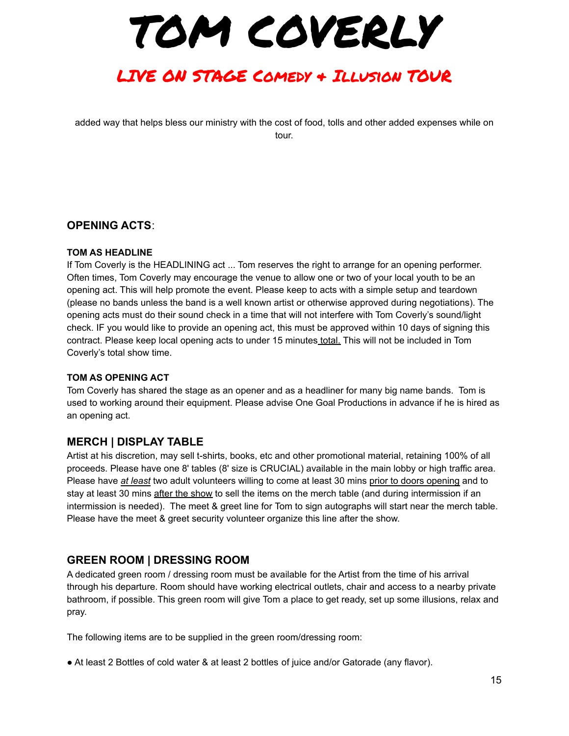TOM COVERLY

added way that helps bless our ministry with the cost of food, tolls and other added expenses while on tour.

#### **OPENING ACTS**:

#### **TOM AS HEADLINE**

If Tom Coverly is the HEADLINING act ... Tom reserves the right to arrange for an opening performer. Often times, Tom Coverly may encourage the venue to allow one or two of your local youth to be an opening act. This will help promote the event. Please keep to acts with a simple setup and teardown (please no bands unless the band is a well known artist or otherwise approved during negotiations). The opening acts must do their sound check in a time that will not interfere with Tom Coverly's sound/light check. IF you would like to provide an opening act, this must be approved within 10 days of signing this contract. Please keep local opening acts to under 15 minutes total. This will not be included in Tom Coverly's total show time.

#### **TOM AS OPENING ACT**

Tom Coverly has shared the stage as an opener and as a headliner for many big name bands. Tom is used to working around their equipment. Please advise One Goal Productions in advance if he is hired as an opening act.

#### **MERCH | DISPLAY TABLE**

Artist at his discretion, may sell t-shirts, books, etc and other promotional material, retaining 100% of all proceeds. Please have one 8' tables (8' size is CRUCIAL) available in the main lobby or high traffic area. Please have *at least* two adult volunteers willing to come at least 30 mins prior to doors opening and to stay at least 30 mins after the show to sell the items on the merch table (and during intermission if an intermission is needed). The meet & greet line for Tom to sign autographs will start near the merch table. Please have the meet & greet security volunteer organize this line after the show.

#### **GREEN ROOM | DRESSING ROOM**

A dedicated green room / dressing room must be available for the Artist from the time of his arrival through his departure. Room should have working electrical outlets, chair and access to a nearby private bathroom, if possible. This green room will give Tom a place to get ready, set up some illusions, relax and pray.

The following items are to be supplied in the green room/dressing room:

■ At least 2 Bottles of cold water & at least 2 bottles of juice and/or Gatorade (any flavor).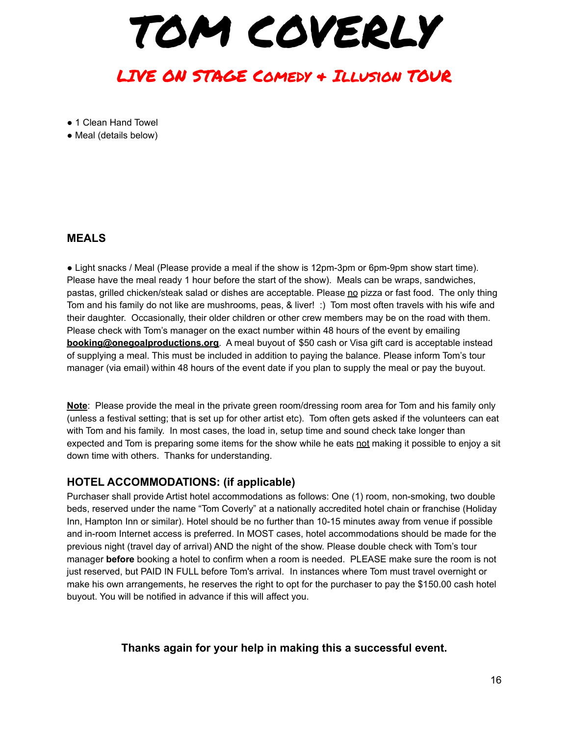TOM COVERLY

● 1 Clean Hand Towel

● Meal (details below)

#### **MEALS**

● Light snacks / Meal (Please provide a meal if the show is 12pm-3pm or 6pm-9pm show start time). Please have the meal ready 1 hour before the start of the show). Meals can be wraps, sandwiches, pastas, grilled chicken/steak salad or dishes are acceptable. Please no pizza or fast food. The only thing Tom and his family do not like are mushrooms, peas, & liver! :) Tom most often travels with his wife and their daughter. Occasionally, their older children or other crew members may be on the road with them. Please check with Tom's manager on the exact number within 48 hours of the event by emailing **booking@onegoalproductions.org**. A meal buyout of \$50 cash or Visa gift card is acceptable instead of supplying a meal. This must be included in addition to paying the balance. Please inform Tom's tour manager (via email) within 48 hours of the event date if you plan to supply the meal or pay the buyout.

**Note**: Please provide the meal in the private green room/dressing room area for Tom and his family only (unless a festival setting; that is set up for other artist etc). Tom often gets asked if the volunteers can eat with Tom and his family. In most cases, the load in, setup time and sound check take longer than expected and Tom is preparing some items for the show while he eats not making it possible to enjoy a sit down time with others. Thanks for understanding.

#### **HOTEL ACCOMMODATIONS: (if applicable)**

Purchaser shall provide Artist hotel accommodations as follows: One (1) room, non-smoking, two double beds, reserved under the name "Tom Coverly" at a nationally accredited hotel chain or franchise (Holiday Inn, Hampton Inn or similar). Hotel should be no further than 10-15 minutes away from venue if possible and in-room Internet access is preferred. In MOST cases, hotel accommodations should be made for the previous night (travel day of arrival) AND the night of the show. Please double check with Tom's tour manager **before** booking a hotel to confirm when a room is needed. PLEASE make sure the room is not just reserved, but PAID IN FULL before Tom's arrival. In instances where Tom must travel overnight or make his own arrangements, he reserves the right to opt for the purchaser to pay the \$150.00 cash hotel buyout. You will be notified in advance if this will affect you.

#### **Thanks again for your help in making this a successful event.**